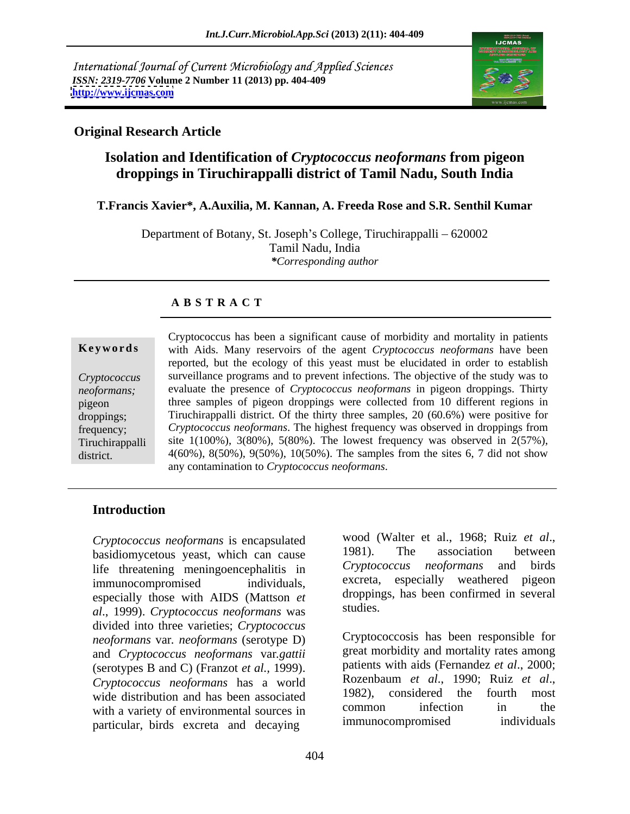International Journal of Current Microbiology and Applied Sciences *ISSN: 2319-7706* **Volume 2 Number 11 (2013) pp. 404-409 <http://www.ijcmas.com>**



## **Original Research Article**

# **Isolation and Identification of** *Cryptococcus neoformans* **from pigeon droppings in Tiruchirappalli district of Tamil Nadu, South India**

### **T.Francis Xavier\*, A.Auxilia, M. Kannan, A. Freeda Rose and S.R. Senthil Kumar**

Department of Botany, St. Joseph's College, Tiruchirappalli – 620002 Tamil Nadu, India *\*Corresponding author*

## **A B S T R A C T**

**Ke ywo rds** with Aids. Many reservoirs of the agent *Cryptococcus neoformans* have been *Cryptococcus*  surveillance programs and to prevent infections. The objective of the study was to *neoformans;*  evaluate the presence of *Cryptococcus neoformans* in pigeon droppings. Thirty pigeon three samples of pigeon droppings were collected from 10 different regions in droppings; Tiruchirappalli district. Of the thirty three samples, 20 (60.6%) were positive for frequency; *Cryptococcus neoformans*. The highest frequency was observed in droppings from Tiruchirappalli site 1(100%), 3(80%), 5(80%). The lowest frequency was observed in 2(57%), district. 4(60%), 8(50%), 9(50%), 10(50%). The samples from the sites 6, 7 did not show Cryptococcus has been a significant cause of morbidity and mortality in patients reported, but the ecology of this yeast must be elucidated in order to establish any contamination to *Cryptococcus neoformans*.

## **Introduction**

basidiomycetous yeast, which can cause leads all the association between<br>life threatening meningoencephalitis in Cryptococcus neoformans and birds life threatening meningoencephalitis in Cryptocour<br>immunocompromised individuals excreta, immunocompromised individuals, excreta, especially weathered pigeon especially those with AIDS (Mattson *et* **droppin**)<br> $el_{1}$  (1000) Constants and accounting weak studies. *al*., 1999). *Cryptococcus neoformans* was divided into three varieties; *Cryptococcus neoformans* var*. neoformans* (serotype D) and *Cryptococcus neoformans* var*.gattii*  (serotypes B and C) (Franzot *et al.*, 1999). patients with aids (Fernandez *et al.*, 2000;<br>Cryptococcus, neoformans, has a world Rozenbaum *et al.*, 1990; Ruiz *et al.*, *Cryptococcus neoformans* has a world<br>wide distribution and has been associated 1982), considered the fourth most wide distribution and has been associated  $1982$ , considered the fourth most<br>with a variety of environmental sources in common infection in the with a variety of environmental sources in common intection in the<br>metricular hirds excrete and decaying immunocompromised individuals particular, birds excreta and decaying

*Cryptococcus neoformans* is encapsulated wood (Walter et al., 1968; Ruiz *et al.*, heading entity and provide the system of the system of the system of the system of the system of the system of the system of the system of wood (Walter et al., 1968; Ruiz *et al*., 1981). The association between *Cryptococcus neoformans* and birds especially weathered pigeon droppings, has been confirmed in several studies.

> Cryptococcosis has been responsible for great morbidity and mortality rates among patients with aids (Fernandez *et al*., 2000; Rozenbaum *et al*., 1990; Ruiz *et al*., 1982), considered the fourth most common infection in the immunocompromised individuals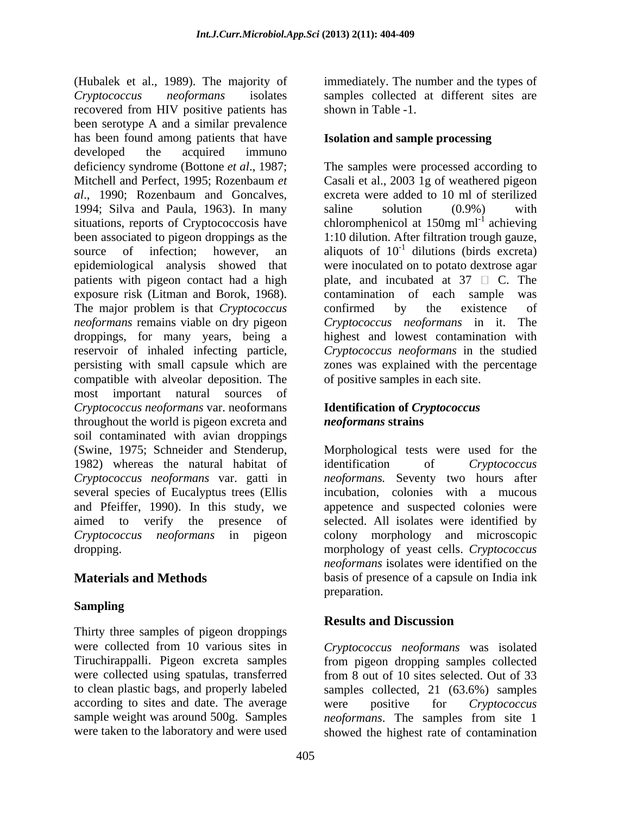(Hubalek et al., 1989). The majority of immediately. The number and the types of *Cryptococcus neoformans* isolates samples collected at different sites are recovered from HIV positive patients has been serotype A and a similar prevalence has been found among patients that have developed the acquired immuno deficiency syndrome (Bottone *et al*., 1987; The samples were processed according to Mitchell and Perfect, 1995; Rozenbaum *et*  Casali et al., 2003 1g of weathered pigeon *al*., 1990; Rozenbaum and Goncalves, 1994; Silva and Paula, 1963). In many saline solution (0.9%) with situations, reports of Cryptococcosis have  $\blacksquare$  chloromphenicol at 150mg ml<sup>-1</sup> achieving been associated to pigeon droppings as the 1:10 dilution. After filtration trough gauze, source of infection; however, an aliquots of  $10^{-1}$  dilutions (birds excreta) epidemiological analysis showed that patients with pigeon contact had a high  $\Box$  plate, and incubated at 37  $\Box$  C. The exposure risk (Litman and Borok, 1968). The major problem is that *Cryptococcus* confirmed by the existence of *neoformans* remains viable on dry pigeon *Cryptococcus neoformans* in it. The droppings, for many years, being a reservoir of inhaled infecting particle, *Cryptococcus neoformans* in the studied persisting with small capsule which are zones was explained with the percentage compatible with alveolar deposition. The most important natural sources of *Cryptococcus neoformans* var. neoformans throughout the world is pigeon excreta and **neoformans strains** soil contaminated with avian droppings (Swine, 1975; Schneider and Stenderup, Morphological tests were used for the 1982) whereas the natural habitat of identification of Cryptococcus *Cryptococcus neoformans* var. gatti in *neoformans.* Seventy two hours after several species of Eucalyptus trees (Ellis incubation, colonies with a mucous and Pfeiffer, 1990). In this study, we appetence and suspected colonies were aimed to verify the presence of selected. All isolates were identified by *Cryptococcus neoformans* in pigeon colony morphology and microscopic

## **Sampling**

Thirty three samples of pigeon droppings were collected from 10 various sites in *Cryptococcus neoformans* was isolated Tiruchirappalli. Pigeon excreta samples from pigeon dropping samples collected were collected using spatulas, transferred to clean plastic bags, and properly labeled samples collected, 21 (63.6%) samples according to sites and date. The average were positive for *Cryptococcus* sample weight was around 500g. Samples *neoformans*. The samples from site 1

shown in Table -1.

### **Isolation and sample processing**

excreta were added to 10 ml of sterilized saline solution (0.9%) with were inoculated on to potato dextrose agar contamination of each sample confirmed by the existence of highest and lowest contamination with of positive samples in each site.

## **Identification of** *Cryptococcus neoformans* **strains**

dropping. morphology of yeast cells. *Cryptococcus*  **Materials and Methods** basis of presence of a capsule on India ink identification of *Cryptococcus neoformans* isolates were identified on the preparation.

# **Results and Discussion**

were taken to the laboratory and were used showed the highest rate of contaminationfrom 8 out of 10 sites selected. Out of 33 were positive for *Cryptococcus*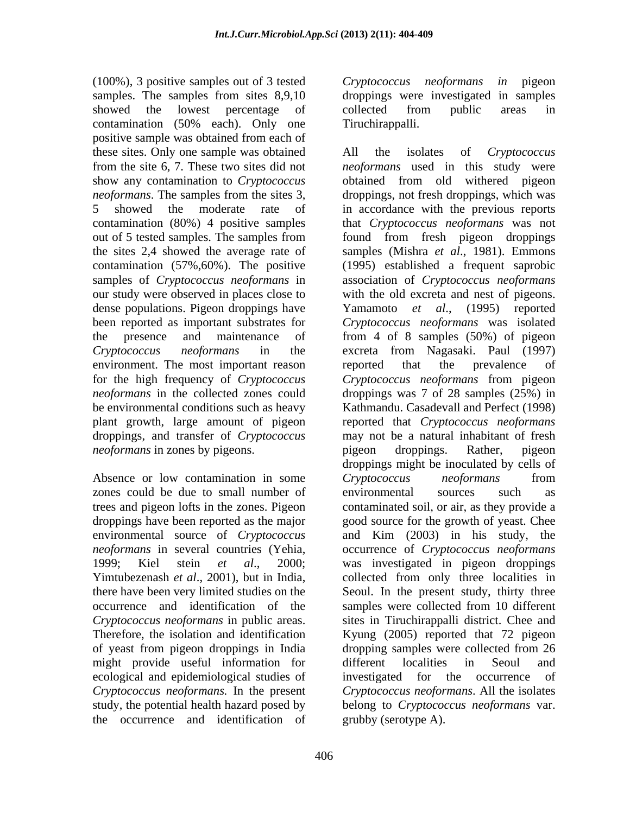(100%), 3 positive samples out of 3 tested *Cryptococcus neoformans in* pigeon samples. The samples from sites 8,9,10 showed the lowest percentage of collected from public areas in contamination (50% each). Only one positive sample was obtained from each of these sites. Only one sample was obtained All the isolates of Cryptococcus contamination (57%,60%). The positive dense populations. Pigeon droppings have Yamamoto et al., (1995) reported environment. The most important reason are reported that the prevalence of plant growth, large amount of pigeon *neoformans* in zones by pigeons. The pigeon or pigeon droppings. Rather, pigeon

Absence or low contamination in some Cryptococcus neoformans from zones could be due to small number of environmental sources such as trees and pigeon lofts in the zones. Pigeon occurrence and identification of the samples were collected from 10 different *Cryptococcus neoformans* in public areas. might provide useful information for different localities in Seoul and ecological and epidemiological studies of the occurrence and identification of

*Cryptococcus neoformans* droppings were investigated in samples collected from public areas in Tiruchirappalli.

from the site 6, 7. These two sites did not *neoformans* used in this study were show any contamination to *Cryptococcus*  obtained from old withered pigeon *neoformans*. The samples from the sites 3, droppings, not fresh droppings, which was 5 showed the moderate rate of in accordance with the previous reports contamination (80%) 4 positive samples that *Cryptococcus neoformans* was not out of 5 tested samples. The samples from found from fresh pigeon droppings the sites 2,4 showed the average rate of samples (Mishra *et al*., 1981). Emmons samples of *Cryptococcus neoformans* in association of *Cryptococcus neoformans* our study were observed in places close to with the old excreta and nest of pigeons. been reported as important substrates for *Cryptococcus neoformans* was isolated the presence and maintenance of from 4 of 8 samples (50%) of pigeon *Cryptococcus neoformans* in the excreta from Nagasaki. Paul (1997) for the high frequency of *Cryptococcus Cryptococcus neoformans* from pigeon *neoformans* in the collected zones could droppings was 7 of 28 samples (25%) in be environmental conditions such as heavy Kathmandu. Casadevall and Perfect (1998) droppings, and transfer of *Cryptococcus*  may not be a natural inhabitant of fresh droppings have been reported as the major good source for the growth of yeast. Chee environmental source of *Cryptococcus* and Kim (2003) in his study, the *neoformans* in several countries (Yehia, occurrence of *Cryptococcus neoformans* 1999; Kiel stein *et al*., 2000; was investigated in pigeon droppings Yimtubezenash *et al*., 2001), but in India, collected from only three localities in there have been very limited studies on the Seoul. In the present study, thirty three Therefore, the isolation and identification Kyung (2005) reported that 72 pigeon of yeast from pigeon droppings in India dropping samples were collected from 26 *Cryptococcus neoformans.* In the present *Cryptococcus neoformans*. All the isolates study, the potential health hazard posed by belong to *Cryptococcus neoformans* var. All the isolates of *Cryptococcus*  (1995) established a frequent saprobic Yamamoto *et al*., (1995) reported reported that the prevalence of reported that *Cryptococcus neoformans* pigeon droppings. Rather, pigeon droppings might be inoculated by cells of *Cryptococcus neoformans* from environmental sources such as contaminated soil, or air, as they provide a samples were collected from 10 different sites in Tiruchirappalli district. Chee and different localities in Seoul and investigated for the occurrence of grubby (serotype A).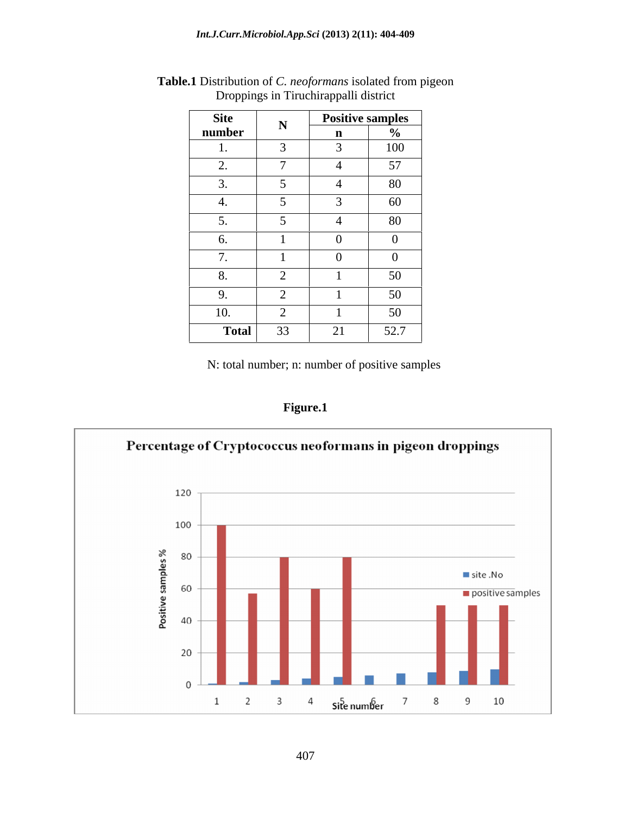| Site                                        | Positive samples |                               |
|---------------------------------------------|------------------|-------------------------------|
| number<br>the control of the control of the |                  |                               |
|                                             |                  | 100                           |
| $\overline{\phantom{0}}$                    |                  | 57<br>$\sim$ $\cdot$          |
|                                             |                  | 80                            |
|                                             |                  | 60                            |
| $\epsilon$                                  |                  | 80                            |
|                                             | $\sim$           | $\Omega$                      |
|                                             |                  | $\Omega$                      |
| $\sim$                                      |                  | $50^{\circ}$<br>$\sim$ $\sim$ |
|                                             |                  | 50<br>$\cup$                  |
| 10.<br>$\sim$                               |                  | 50 <sup>5</sup><br>$\cup$     |
| Total<br>22                                 | 21               | 52.7                          |

**Table.1** Distribution of *C. neoformans* isolated from pigeon Droppings in Tiruchirappalli district

**Figure.1**

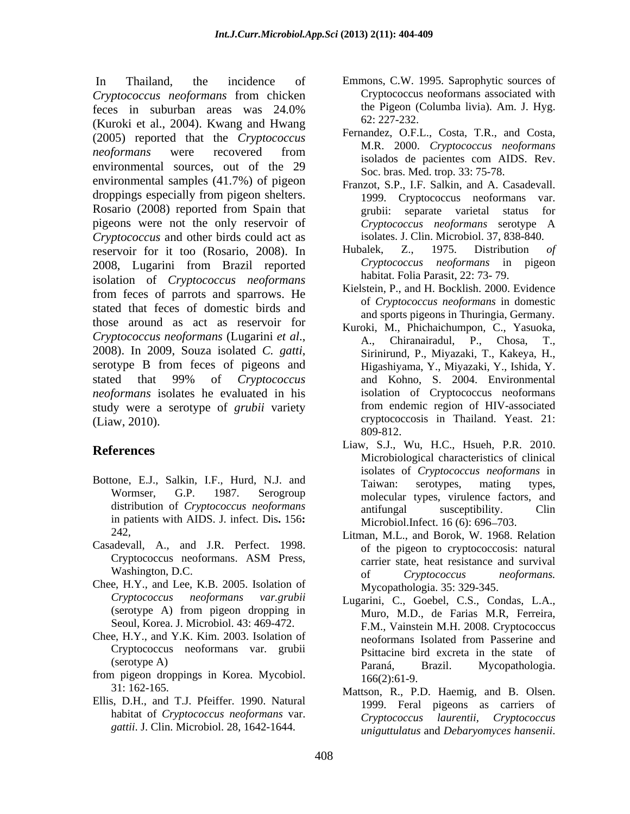*Cryptococcus neoformans* from chicken feces in suburban areas was 24.0% the Pigeon (Columba livia). Am. J. Hyg. (Kuroki et al., 2004). Kwang and Hwang (2005) reported that the *Cryptococcus neoformans* were recovered from **M.K.** 2000. Cryptococcus helpothians environmental sources, out of the 29 See here Med tren 22, 75.78 environmental samples (41.7%) of pigeon droppings especially from pigeon shelters. Rosario (2008) reported from Spain that **reports** erabii: separate varietal status for pigeons were not the only reservoir of *Cryptococcus neoformans* serotype A *Cryptococcus* and other birds could act as reservoir for it too (Rosario, 2008). In Hubalek, Z., 1975. Distribution of 2008, Lugarini from Brazil reported Cryptococcus neoformans in pigeon isolation of *Cryptococcus neoformans* from feces of parrots and sparrows. He stated that feces of domestic birds and those around as act as reservoir for *Cryptococcus neoformans* (Lugarini *et al.*, 2008). In 2009, Souza isolated *C. gatti*, Sirinirund, P., Miyazaki, T., Kakeya, H., Sirotype B from feces of pigeons and Higashiyama, Y., Miyazaki, Y., Ishida, Y. stated that 99% of *Cryptococcus neoformans* isolates he evaluated in his study were a serotype of *grubii* variety (Liaw, 2010). cryptococcosis in Thailand. Yeast. 21:

- Bottone, E.J., Salkin, I.F., Hurd, N.J. and Taiwan: serotypes, mating types, in patients with AIDS. J. infect. Dis**.** 156**:**
- Casadevall, A., and J.R. Perfect. 1998.
- Chee, H.Y., and Lee, K.B. 2005. Isolation of (serotype A) from pigeon dropping in Seoul, Korea. J. Microbiol. 43: 469-472.
- Chee, H.Y., and Y.K. Kim. 2003. Isolation of
- from pigeon droppings in Korea. Mycobiol.
- Ellis, D.H., and T.J. Pfeiffer. 1990. Natural *gattii*. J. Clin. Microbiol. 28, 1642-1644.
- In Thailand, the incidence of Emmons, C.W. 1995. Saprophytic sources of Cryptococcus neoformans associated with the Pigeon (Columba livia). Am. J. Hyg. 62: 227-232.
	- Fernandez, O.F.L., Costa, T.R., and Costa, M.R. 2000. *Cryptococcus neoformans* isolados de pacientes com AIDS. Rev. Soc. bras. Med. trop. 33: 75-78.
	- Franzot, S.P., I.F. Salkin, and A. Casadevall. 1999. Cryptococcus neoformans var. grubii: separate varietal *Cryptococcus neoformans* serotype A isolates. J. Clin. Microbiol. 37, 838-840.
	- Hubalek, Z., 1975. Distribution *of Cryptococcus neoformans* in habitat. Folia Parasit, 22: 73- 79.
	- Kielstein, P., and H. Bocklish. 2000. Evidence of *Cryptococcus neoformans* in domestic and sports pigeons in Thuringia, Germany.
	- Kuroki, M., Phichaichumpon, C., Yasuoka, A., Chiranairadul, P., Chosa, T., Sirinirund, P., Miyazaki, T., Kakeya, H., Higashiyama, Y., Miyazaki, Y., Ishida, Y. and Kohno, S. 2004. Environmental isolation of Cryptococcus neoformans from endemic region of HIV-associated 809-812.
- **References**<br>
Microbiological characteristics of clinical<br>
Microbiological characteristics of clinical Wormser, G.P. 1987. Serogroup molecular types, virulence factors, and distribution of *Cryptococcus neoformans* antifungal susceptibility. Clin Liaw, S.J., Wu, H.C., Hsueh, P.R. 2010. isolates of *Cryptococcus neoformans* in Taiwan: serotypes, mating types, antifungal susceptibility. Clin Microbiol.Infect. 16 (6): 696–703.
	- 242, Litman, M.L., and Borok, W. 1968. Relation Cryptococcus neoformans. ASM Press, carrier state heat resistance and survival Washington, D.C. of Cryptococcus neoformans. of the pigeon to cryptococcosis: natural carrier state, heat resistance and survival of *Cryptococcus neoformans.* Mycopathologia. 35: 329-345.
	- *Cryptococcus neoformans var.grubii* Lugarini, C., Goebel, C.S., Condas, L.A., Cryptococcus neoformans var. grubii Psittacine hird excreta in the state of (serotype A) Paraná, Brazil. Mycopathologia. Muro, M.D., de Farias M.R, Ferreira, F.M., Vainstein M.H. 2008. Cryptococcus neoformans Isolated from Passerine and Psittacine bird excreta in the state Paraná, Brazil. Mycopathologia. 166(2):61-9.
	- 31: 162-165. Mattson, R., P.D. Haemig, and B. Olsen. habitat of *Cryptococcus neoformans* var. Cryptococcus laurentii, Cryptococcus 1999. Feral pigeons as carriers of *Cryptococcus laurentii, Cryptococcus uniguttulatus* and *Debaryomyces hansenii*.